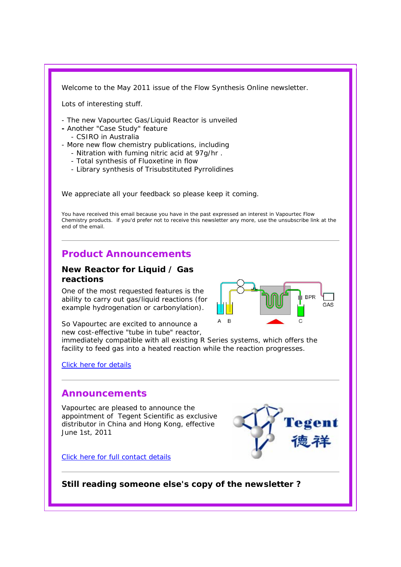Welcome to the May 2011 issue of the Flow Synthesis Online newsletter.

Lots of interesting stuff.

- The new Vapourtec Gas/Liquid Reactor is unveiled
- Another "Case Study" feature
	- CSIRO in Australia
- More new flow chemistry publications, including
	- Nitration with fuming nitric acid at 97g/hr .
	- Total synthesis of Fluoxetine in flow
	- Library synthesis of Trisubstituted Pyrrolidines

We appreciate all your feedback so please keep it coming.

You have received this email because you have in the past expressed an interest in Vapourtec Flow Chemistry products. if you'd prefer not to receive this newsletter any more, use the unsubscribe link at the end of the email.

# **Product Announcements**

#### **New Reactor for Liquid / Gas reactions**

One of the most requested features is the ability to carry out gas/liquid reactions (for example hydrogenation or carbonylation).



So Vapourtec are excited to announce a new cost-effective "tube in tube" reactor,

immediately compatible with all existing R Series systems, which offers the facility to feed gas into a heated reaction while the reaction progresses.

Click here for details

### **Announcements**

Vapourtec are pleased to announce the appointment of Tegent Scientific as exclusive distributor in China and Hong Kong, effective June 1st, 2011

Click here for full contact details

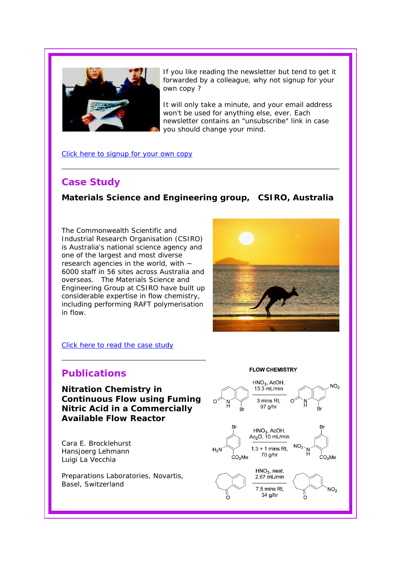

If you like reading the newsletter but tend to get it forwarded by a colleague, why not signup for your own copy ?

It will only take a minute, and your email address won't be used for anything else, ever. Each newsletter contains an "unsubscribe" link in case you should change your mind.

Click here to signup for your own copy

## **Case Study**

## **Materials Science and Engineering group, CSIRO, Australia**

The Commonwealth Scientific and Industrial Research Organisation (CSIRO) is Australia's national science agency and one of the largest and most diverse research agencies in the world, with  $\sim$ 6000 staff in 56 sites across Australia and overseas. The Materials Science and Engineering Group at CSIRO have built up considerable expertise in flow chemistry, including performing RAFT polymerisation in flow.



#### Click here to read the case study

## **Publications**

**Nitration Chemistry in Continuous Flow using Fuming Nitric Acid in a Commercially Available Flow Reactor** 

Cara E. Brocklehurst Hansjoerg Lehmann Luigi La Vecchia

*Preparations Laboratories, Novartis, Basel, Switzerland*

#### **FLOW CHEMISTRY**

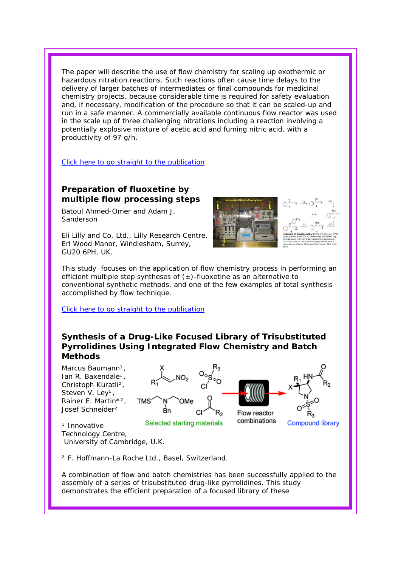The paper will describe the use of flow chemistry for scaling up exothermic or hazardous nitration reactions. Such reactions often cause time delays to the delivery of larger batches of intermediates or final compounds for medicinal chemistry projects, because considerable time is required for safety evaluation and, if necessary, modification of the procedure so that it can be scaled-up and run in a safe manner. A commercially available continuous flow reactor was used in the scale up of three challenging nitrations including a reaction involving a potentially explosive mixture of acetic acid and fuming nitric acid, with a productivity of 97 g/h.

Click here to go straight to the publication

### **Preparation of fluoxetine by multiple flow processing steps**

Batoul Ahmed-Omer and Adam J. Sanderson

*Eli Lilly and Co. Ltd., Lilly Research Centre, Erl Wood Manor, Windlesham, Surrey, GU20 6PH, UK.*



This study focuses on the application of flow chemistry process in performing an efficient multiple step syntheses of  $(\pm)$ -fluoxetine as an alternative to conventional synthetic methods, and one of the few examples of total synthesis accomplished by flow technique.

Click here to go straight to the publication

#### **Synthesis of a Drug-Like Focused Library of Trisubstituted Pyrrolidines Using Integrated Flow Chemistry and Batch Methods**

Marcus Baumann<sup>1</sup>. Ian R. Baxendale<sup>1</sup>, Christoph Kuratli², Steven V. Ley<sup>1</sup>, Rainer E. Martin\*<sup>2</sup>, Josef Schneider²





**Compound library** 

*¹ Innovative Technology Centre, University of Cambridge, U.K.*

*² F. Hoffmann-La Roche Ltd., Basel, Switzerland.*

A combination of flow and batch chemistries has been successfully applied to the assembly of a series of trisubstituted drug-like pyrrolidines. This study demonstrates the efficient preparation of a focused library of these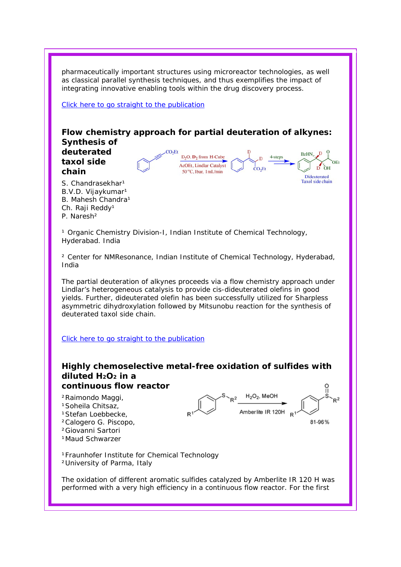pharmaceutically important structures using microreactor technologies, as well as classical parallel synthesis techniques, and thus exemplifies the impact of integrating innovative enabling tools within the drug discovery process.

Click here to go straight to the publication



The partial deuteration of alkynes proceeds via a flow chemistry approach under Lindlar's heterogeneous catalysis to provide cis-dideuterated olefins in good yields. Further, dideuterated olefin has been successfully utilized for Sharpless asymmetric dihydroxylation followed by Mitsunobu reaction for the synthesis of deuterated taxol side chain.

Click here to go straight to the publication

#### **Highly chemoselective metal-free oxidation of sulfides with diluted H2O2 in a continuous flow reactor**

²Raimondo Maggi, <sup>1</sup>Soheila Chitsaz, 1Stefan Loebbecke. ²Calogero G. Piscopo, ²Giovanni Sartori <sup>1</sup>Maud Schwarzer



*¹Fraunhofer Institute for Chemical Technology ²University of Parma, Italy*

The oxidation of different aromatic sulfides catalyzed by Amberlite IR 120 H was performed with a very high efficiency in a continuous flow reactor. For the first